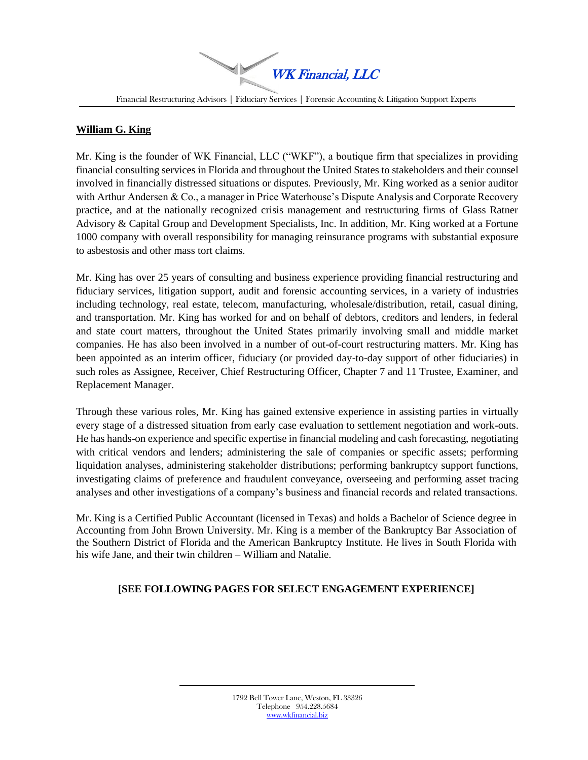$\blacktriangleright$ WK Financial, LLC

Financial Restructuring Advisors | Fiduciary Services | Forensic Accounting & Litigation Support Experts

## **William G. King**

Mr. King is the founder of WK Financial, LLC ("WKF"), a boutique firm that specializes in providing financial consulting services in Florida and throughout the United States to stakeholders and their counsel involved in financially distressed situations or disputes. Previously, Mr. King worked as a senior auditor with Arthur Andersen & Co., a manager in Price Waterhouse's Dispute Analysis and Corporate Recovery practice, and at the nationally recognized crisis management and restructuring firms of Glass Ratner Advisory & Capital Group and Development Specialists, Inc. In addition, Mr. King worked at a Fortune 1000 company with overall responsibility for managing reinsurance programs with substantial exposure to asbestosis and other mass tort claims.

Mr. King has over 25 years of consulting and business experience providing financial restructuring and fiduciary services, litigation support, audit and forensic accounting services, in a variety of industries including technology, real estate, telecom, manufacturing, wholesale/distribution, retail, casual dining, and transportation. Mr. King has worked for and on behalf of debtors, creditors and lenders, in federal and state court matters, throughout the United States primarily involving small and middle market companies. He has also been involved in a number of out-of-court restructuring matters. Mr. King has been appointed as an interim officer, fiduciary (or provided day-to-day support of other fiduciaries) in such roles as Assignee, Receiver, Chief Restructuring Officer, Chapter 7 and 11 Trustee, Examiner, and Replacement Manager.

Through these various roles, Mr. King has gained extensive experience in assisting parties in virtually every stage of a distressed situation from early case evaluation to settlement negotiation and work-outs. He has hands-on experience and specific expertise in financial modeling and cash forecasting, negotiating with critical vendors and lenders; administering the sale of companies or specific assets; performing liquidation analyses, administering stakeholder distributions; performing bankruptcy support functions, investigating claims of preference and fraudulent conveyance, overseeing and performing asset tracing analyses and other investigations of a company's business and financial records and related transactions.

Mr. King is a Certified Public Accountant (licensed in Texas) and holds a Bachelor of Science degree in Accounting from John Brown University. Mr. King is a member of the Bankruptcy Bar Association of the Southern District of Florida and the American Bankruptcy Institute. He lives in South Florida with his wife Jane, and their twin children – William and Natalie.

# **[SEE FOLLOWING PAGES FOR SELECT ENGAGEMENT EXPERIENCE]**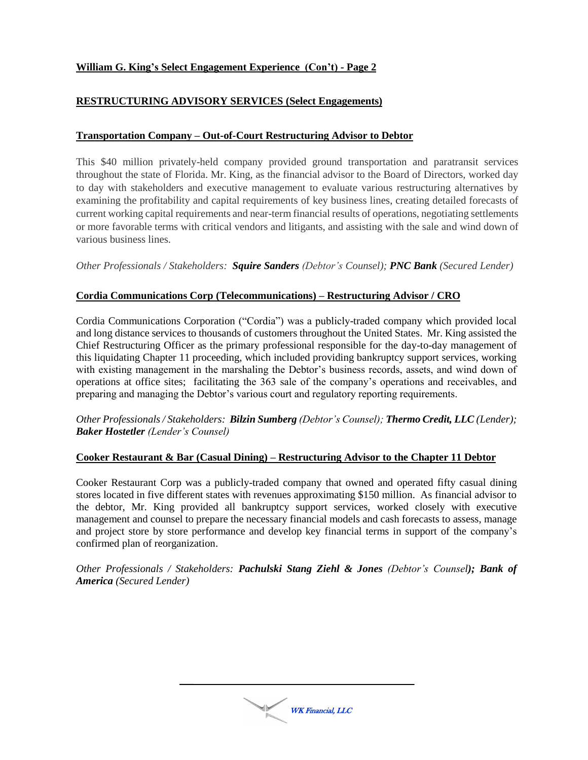## **RESTRUCTURING ADVISORY SERVICES (Select Engagements)**

### **Transportation Company – Out-of-Court Restructuring Advisor to Debtor**

This \$40 million privately-held company provided ground transportation and paratransit services throughout the state of Florida. Mr. King, as the financial advisor to the Board of Directors, worked day to day with stakeholders and executive management to evaluate various restructuring alternatives by examining the profitability and capital requirements of key business lines, creating detailed forecasts of current working capital requirements and near-term financial results of operations, negotiating settlements or more favorable terms with critical vendors and litigants, and assisting with the sale and wind down of various business lines.

*Other Professionals / Stakeholders: Squire Sanders (Debtor's Counsel); PNC Bank (Secured Lender)*

### **Cordia Communications Corp (Telecommunications) – Restructuring Advisor / CRO**

Cordia Communications Corporation ("Cordia") was a publicly-traded company which provided local and long distance services to thousands of customers throughout the United States. Mr. King assisted the Chief Restructuring Officer as the primary professional responsible for the day-to-day management of this liquidating Chapter 11 proceeding, which included providing bankruptcy support services, working with existing management in the marshaling the Debtor's business records, assets, and wind down of operations at office sites; facilitating the 363 sale of the company's operations and receivables, and preparing and managing the Debtor's various court and regulatory reporting requirements.

#### *Other Professionals / Stakeholders: Bilzin Sumberg (Debtor's Counsel); Thermo Credit, LLC (Lender); Baker Hostetler (Lender's Counsel)*

#### **Cooker Restaurant & Bar (Casual Dining) – Restructuring Advisor to the Chapter 11 Debtor**

Cooker Restaurant Corp was a publicly-traded company that owned and operated fifty casual dining stores located in five different states with revenues approximating \$150 million. As financial advisor to the debtor, Mr. King provided all bankruptcy support services, worked closely with executive management and counsel to prepare the necessary financial models and cash forecasts to assess, manage and project store by store performance and develop key financial terms in support of the company's confirmed plan of reorganization.

*Other Professionals / Stakeholders: Pachulski Stang Ziehl & Jones (Debtor's Counsel); Bank of America (Secured Lender)*

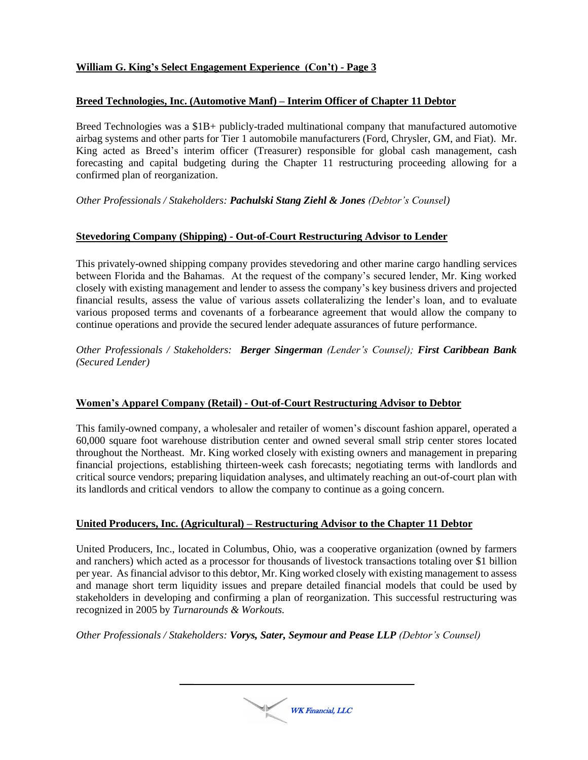### **Breed Technologies, Inc. (Automotive Manf) – Interim Officer of Chapter 11 Debtor**

Breed Technologies was a \$1B+ publicly-traded multinational company that manufactured automotive airbag systems and other parts for Tier 1 automobile manufacturers (Ford, Chrysler, GM, and Fiat). Mr. King acted as Breed's interim officer (Treasurer) responsible for global cash management, cash forecasting and capital budgeting during the Chapter 11 restructuring proceeding allowing for a confirmed plan of reorganization.

*Other Professionals / Stakeholders: Pachulski Stang Ziehl & Jones (Debtor's Counsel)*

## **Stevedoring Company (Shipping) - Out-of-Court Restructuring Advisor to Lender**

This privately-owned shipping company provides stevedoring and other marine cargo handling services between Florida and the Bahamas. At the request of the company's secured lender, Mr. King worked closely with existing management and lender to assess the company's key business drivers and projected financial results, assess the value of various assets collateralizing the lender's loan, and to evaluate various proposed terms and covenants of a forbearance agreement that would allow the company to continue operations and provide the secured lender adequate assurances of future performance.

*Other Professionals / Stakeholders: Berger Singerman (Lender's Counsel); First Caribbean Bank (Secured Lender)*

### **Women's Apparel Company (Retail) - Out-of-Court Restructuring Advisor to Debtor**

This family-owned company, a wholesaler and retailer of women's discount fashion apparel, operated a 60,000 square foot warehouse distribution center and owned several small strip center stores located throughout the Northeast. Mr. King worked closely with existing owners and management in preparing financial projections, establishing thirteen-week cash forecasts; negotiating terms with landlords and critical source vendors; preparing liquidation analyses, and ultimately reaching an out-of-court plan with its landlords and critical vendors to allow the company to continue as a going concern.

# **United Producers, Inc. (Agricultural) – Restructuring Advisor to the Chapter 11 Debtor**

United Producers, Inc., located in Columbus, Ohio, was a cooperative organization (owned by farmers and ranchers) which acted as a processor for thousands of livestock transactions totaling over \$1 billion per year. As financial advisor to this debtor, Mr. King worked closely with existing management to assess and manage short term liquidity issues and prepare detailed financial models that could be used by stakeholders in developing and confirming a plan of reorganization. This successful restructuring was recognized in 2005 by *Turnarounds & Workouts.*

*Other Professionals / Stakeholders: Vorys, Sater, Seymour and Pease LLP (Debtor's Counsel)*

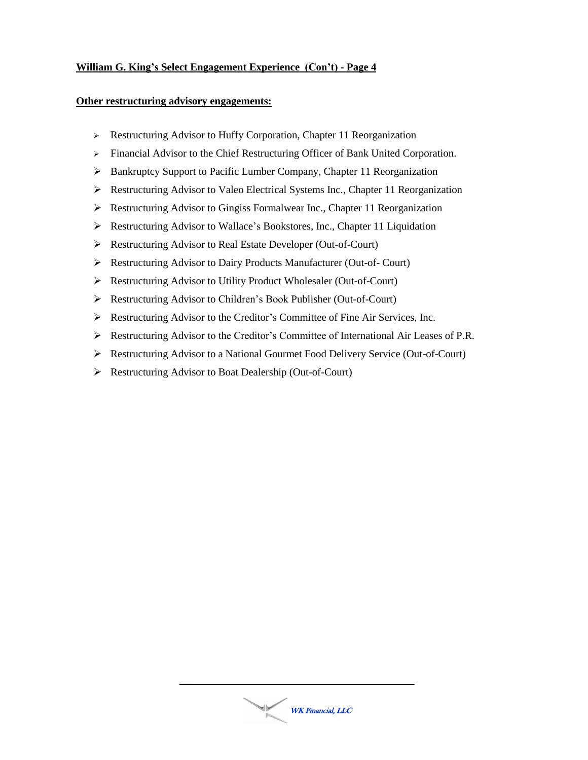### **Other restructuring advisory engagements:**

- Restructuring Advisor to Huffy Corporation, Chapter 11 Reorganization
- > Financial Advisor to the Chief Restructuring Officer of Bank United Corporation.
- Bankruptcy Support to Pacific Lumber Company, Chapter 11 Reorganization
- Restructuring Advisor to Valeo Electrical Systems Inc., Chapter 11 Reorganization
- $\triangleright$  Restructuring Advisor to Gingiss Formalwear Inc., Chapter 11 Reorganization
- Restructuring Advisor to Wallace's Bookstores, Inc., Chapter 11 Liquidation
- Restructuring Advisor to Real Estate Developer (Out-of-Court)
- Restructuring Advisor to Dairy Products Manufacturer (Out-of- Court)
- Restructuring Advisor to Utility Product Wholesaler (Out-of-Court)
- Restructuring Advisor to Children's Book Publisher (Out-of-Court)
- Restructuring Advisor to the Creditor's Committee of Fine Air Services, Inc.
- $\triangleright$  Restructuring Advisor to the Creditor's Committee of International Air Leases of P.R.
- Restructuring Advisor to a National Gourmet Food Delivery Service (Out-of-Court)
- Restructuring Advisor to Boat Dealership (Out-of-Court)

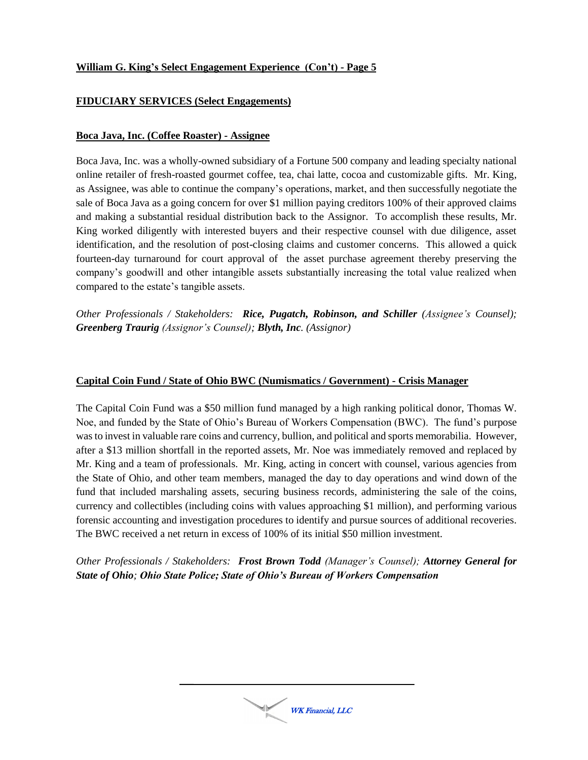## **FIDUCIARY SERVICES (Select Engagements)**

#### **Boca Java, Inc. (Coffee Roaster) - Assignee**

Boca Java, Inc. was a wholly-owned subsidiary of a Fortune 500 company and leading specialty national online retailer of fresh-roasted gourmet coffee, tea, chai latte, cocoa and customizable gifts. Mr. King, as Assignee, was able to continue the company's operations, market, and then successfully negotiate the sale of Boca Java as a going concern for over \$1 million paying creditors 100% of their approved claims and making a substantial residual distribution back to the Assignor. To accomplish these results, Mr. King worked diligently with interested buyers and their respective counsel with due diligence, asset identification, and the resolution of post-closing claims and customer concerns. This allowed a quick fourteen-day turnaround for court approval of the asset purchase agreement thereby preserving the company's goodwill and other intangible assets substantially increasing the total value realized when compared to the estate's tangible assets.

*Other Professionals / Stakeholders: Rice, Pugatch, Robinson, and Schiller (Assignee's Counsel); Greenberg Traurig (Assignor's Counsel); Blyth, Inc. (Assignor)*

### **Capital Coin Fund / State of Ohio BWC (Numismatics / Government) - Crisis Manager**

The Capital Coin Fund was a \$50 million fund managed by a high ranking political donor, Thomas W. Noe, and funded by the State of Ohio's Bureau of Workers Compensation (BWC). The fund's purpose was to invest in valuable rare coins and currency, bullion, and political and sports memorabilia. However, after a \$13 million shortfall in the reported assets, Mr. Noe was immediately removed and replaced by Mr. King and a team of professionals. Mr. King, acting in concert with counsel, various agencies from the State of Ohio, and other team members, managed the day to day operations and wind down of the fund that included marshaling assets, securing business records, administering the sale of the coins, currency and collectibles (including coins with values approaching \$1 million), and performing various forensic accounting and investigation procedures to identify and pursue sources of additional recoveries. The BWC received a net return in excess of 100% of its initial \$50 million investment.

*Other Professionals / Stakeholders: Frost Brown Todd (Manager's Counsel); Attorney General for State of Ohio; Ohio State Police; State of Ohio's Bureau of Workers Compensation*

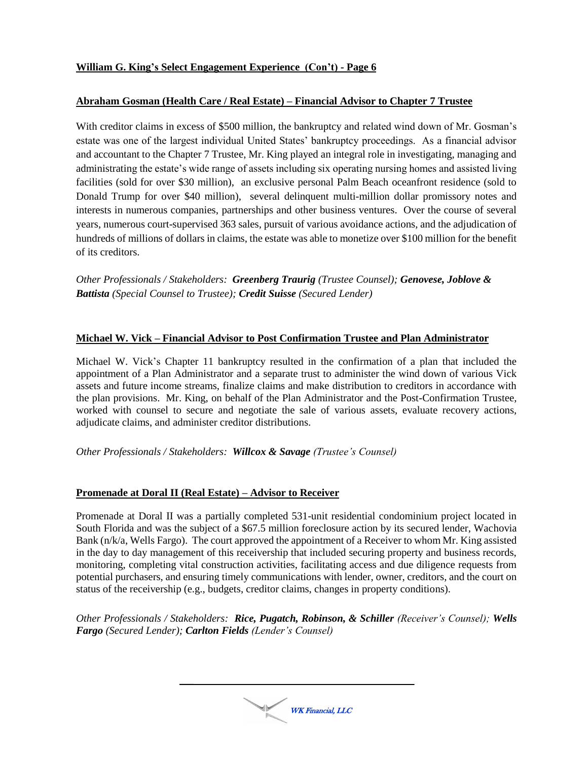## **Abraham Gosman (Health Care / Real Estate) – Financial Advisor to Chapter 7 Trustee**

With creditor claims in excess of \$500 million, the bankruptcy and related wind down of Mr. Gosman's estate was one of the largest individual United States' bankruptcy proceedings. As a financial advisor and accountant to the Chapter 7 Trustee, Mr. King played an integral role in investigating, managing and administrating the estate's wide range of assets including six operating nursing homes and assisted living facilities (sold for over \$30 million), an exclusive personal Palm Beach oceanfront residence (sold to Donald Trump for over \$40 million), several delinquent multi-million dollar promissory notes and interests in numerous companies, partnerships and other business ventures. Over the course of several years, numerous court-supervised 363 sales, pursuit of various avoidance actions, and the adjudication of hundreds of millions of dollars in claims, the estate was able to monetize over \$100 million for the benefit of its creditors.

*Other Professionals / Stakeholders: Greenberg Traurig (Trustee Counsel); Genovese, Joblove & Battista (Special Counsel to Trustee); Credit Suisse (Secured Lender)*

### **Michael W. Vick – Financial Advisor to Post Confirmation Trustee and Plan Administrator**

Michael W. Vick's Chapter 11 bankruptcy resulted in the confirmation of a plan that included the appointment of a Plan Administrator and a separate trust to administer the wind down of various Vick assets and future income streams, finalize claims and make distribution to creditors in accordance with the plan provisions. Mr. King, on behalf of the Plan Administrator and the Post-Confirmation Trustee, worked with counsel to secure and negotiate the sale of various assets, evaluate recovery actions, adjudicate claims, and administer creditor distributions.

*Other Professionals / Stakeholders: Willcox & Savage (Trustee's Counsel)*

### **Promenade at Doral II (Real Estate) – Advisor to Receiver**

Promenade at Doral II was a partially completed 531-unit residential condominium project located in South Florida and was the subject of a \$67.5 million foreclosure action by its secured lender, Wachovia Bank (n/k/a, Wells Fargo). The court approved the appointment of a Receiver to whom Mr. King assisted in the day to day management of this receivership that included securing property and business records, monitoring, completing vital construction activities, facilitating access and due diligence requests from potential purchasers, and ensuring timely communications with lender, owner, creditors, and the court on status of the receivership (e.g., budgets, creditor claims, changes in property conditions).

*Other Professionals / Stakeholders: Rice, Pugatch, Robinson, & Schiller (Receiver's Counsel); Wells Fargo (Secured Lender); Carlton Fields (Lender's Counsel)*

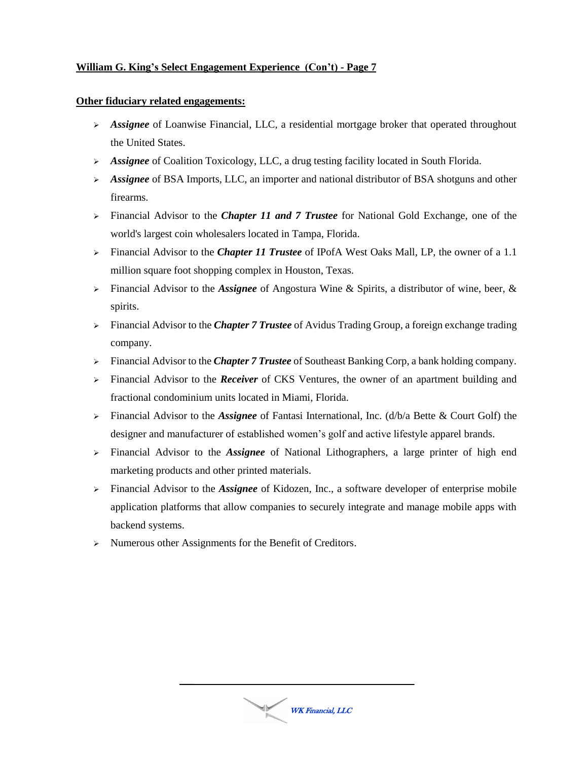### **Other fiduciary related engagements:**

- *Assignee* of Loanwise Financial, LLC, a residential mortgage broker that operated throughout the United States.
- *Assignee* of Coalition Toxicology, LLC, a drug testing facility located in South Florida.
- *Assignee* of BSA Imports, LLC, an importer and national distributor of BSA shotguns and other firearms.
- Financial Advisor to the *Chapter 11 and 7 Trustee* for National Gold Exchange, one of the world's largest coin wholesalers located in Tampa, Florida.
- Financial Advisor to the *Chapter 11 Trustee* of IPofA West Oaks Mall, LP, the owner of a 1.1 million square foot shopping complex in Houston, Texas.
- Financial Advisor to the *Assignee* of Angostura Wine & Spirits, a distributor of wine, beer, & spirits.
- Financial Advisor to the *Chapter 7 Trustee* of Avidus Trading Group, a foreign exchange trading company.
- Financial Advisor to the *Chapter 7 Trustee* of Southeast Banking Corp, a bank holding company.
- Financial Advisor to the *Receiver* of CKS Ventures, the owner of an apartment building and fractional condominium units located in Miami, Florida.
- Financial Advisor to the *Assignee* of Fantasi International, Inc. (d/b/a Bette & Court Golf) the designer and manufacturer of established women's golf and active lifestyle apparel brands.
- Financial Advisor to the *Assignee* of National Lithographers, a large printer of high end marketing products and other printed materials.
- Financial Advisor to the *Assignee* of Kidozen, Inc., a software developer of enterprise mobile application platforms that allow companies to securely integrate and manage mobile apps with backend systems.
- > Numerous other Assignments for the Benefit of Creditors.

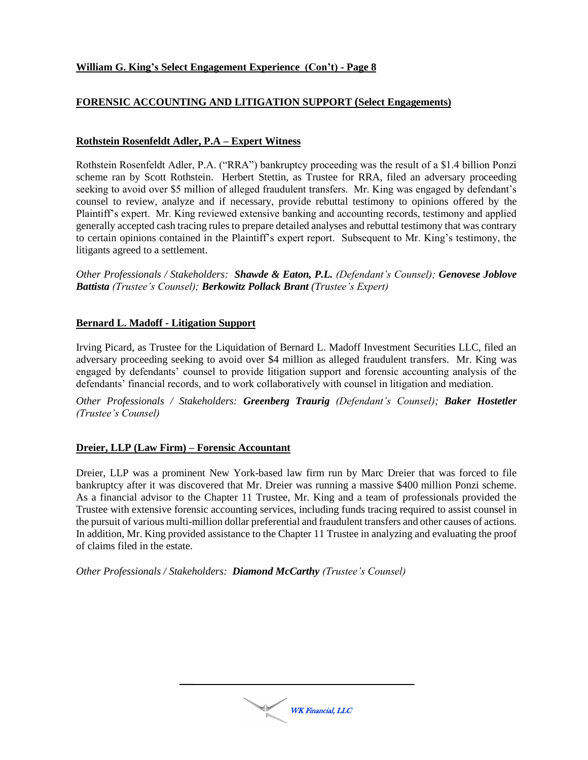## **FORENSIC ACCOUNTING AND LITIGATION SUPPORT (Select Engagements)**

### **Rothstein Rosenfeldt Adler, P.A – Expert Witness**

Rothstein Rosenfeldt Adler, P.A. ("RRA") bankruptcy proceeding was the result of a \$1.4 billion Ponzi scheme ran by Scott Rothstein. Herbert Stettin, as Trustee for RRA, filed an adversary proceeding seeking to avoid over \$5 million of alleged fraudulent transfers. Mr. King was engaged by defendant's counsel to review, analyze and if necessary, provide rebuttal testimony to opinions offered by the Plaintiff's expert. Mr. King reviewed extensive banking and accounting records, testimony and applied generally accepted cash tracing rules to prepare detailed analyses and rebuttal testimony that was contrary to certain opinions contained in the Plaintiff's expert report. Subsequent to Mr. King's testimony, the litigants agreed to a settlement.

*Other Professionals / Stakeholders: Shawde & Eaton, P.L. (Defendant's Counsel); Genovese Joblove Battista (Trustee's Counsel); Berkowitz Pollack Brant (Trustee's Expert)*

#### **Bernard L. Madoff - Litigation Support**

Irving Picard, as Trustee for the Liquidation of Bernard L. Madoff Investment Securities LLC, filed an adversary proceeding seeking to avoid over \$4 million as alleged fraudulent transfers. Mr. King was engaged by defendants' counsel to provide litigation support and forensic accounting analysis of the defendants' financial records, and to work collaboratively with counsel in litigation and mediation.

*Other Professionals / Stakeholders: Greenberg Traurig (Defendant's Counsel); Baker Hostetler (Trustee's Counsel)*

### **Dreier, LLP (Law Firm) – Forensic Accountant**

Dreier, LLP was a prominent New York-based law firm run by Marc Dreier that was forced to file bankruptcy after it was discovered that Mr. Dreier was running a massive \$400 million Ponzi scheme. As a financial advisor to the Chapter 11 Trustee, Mr. King and a team of professionals provided the Trustee with extensive forensic accounting services, including funds tracing required to assist counsel in the pursuit of various multi-million dollar preferential and fraudulent transfers and other causes of actions. In addition, Mr. King provided assistance to the Chapter 11 Trustee in analyzing and evaluating the proof of claims filed in the estate.

*Other Professionals / Stakeholders: Diamond McCarthy (Trustee's Counsel)*

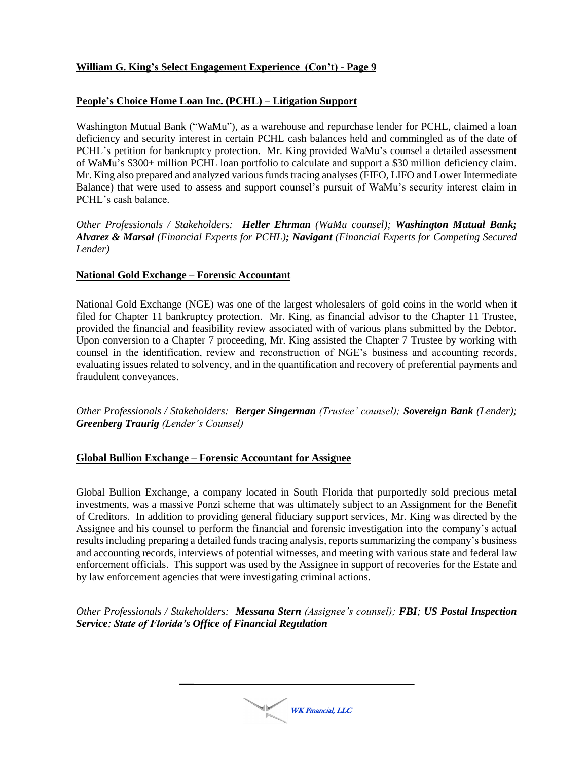## **People's Choice Home Loan Inc. (PCHL) – Litigation Support**

Washington Mutual Bank ("WaMu"), as a warehouse and repurchase lender for PCHL, claimed a loan deficiency and security interest in certain PCHL cash balances held and commingled as of the date of PCHL's petition for bankruptcy protection. Mr. King provided WaMu's counsel a detailed assessment of WaMu's \$300+ million PCHL loan portfolio to calculate and support a \$30 million deficiency claim. Mr. King also prepared and analyzed various funds tracing analyses (FIFO, LIFO and Lower Intermediate Balance) that were used to assess and support counsel's pursuit of WaMu's security interest claim in PCHL's cash balance.

*Other Professionals / Stakeholders: Heller Ehrman (WaMu counsel); Washington Mutual Bank; Alvarez & Marsal (Financial Experts for PCHL); Navigant (Financial Experts for Competing Secured Lender)*

### **National Gold Exchange – Forensic Accountant**

National Gold Exchange (NGE) was one of the largest wholesalers of gold coins in the world when it filed for Chapter 11 bankruptcy protection. Mr. King, as financial advisor to the Chapter 11 Trustee, provided the financial and feasibility review associated with of various plans submitted by the Debtor. Upon conversion to a Chapter 7 proceeding, Mr. King assisted the Chapter 7 Trustee by working with counsel in the identification, review and reconstruction of NGE's business and accounting records, evaluating issues related to solvency, and in the quantification and recovery of preferential payments and fraudulent conveyances.

*Other Professionals / Stakeholders: Berger Singerman (Trustee' counsel); Sovereign Bank (Lender); Greenberg Traurig (Lender's Counsel)*

### **Global Bullion Exchange – Forensic Accountant for Assignee**

Global Bullion Exchange, a company located in South Florida that purportedly sold precious metal investments, was a massive Ponzi scheme that was ultimately subject to an Assignment for the Benefit of Creditors. In addition to providing general fiduciary support services, Mr. King was directed by the Assignee and his counsel to perform the financial and forensic investigation into the company's actual results including preparing a detailed funds tracing analysis, reports summarizing the company's business and accounting records, interviews of potential witnesses, and meeting with various state and federal law enforcement officials. This support was used by the Assignee in support of recoveries for the Estate and by law enforcement agencies that were investigating criminal actions.

*Other Professionals / Stakeholders: Messana Stern (Assignee's counsel); FBI; US Postal Inspection Service; State of Florida's Office of Financial Regulation*